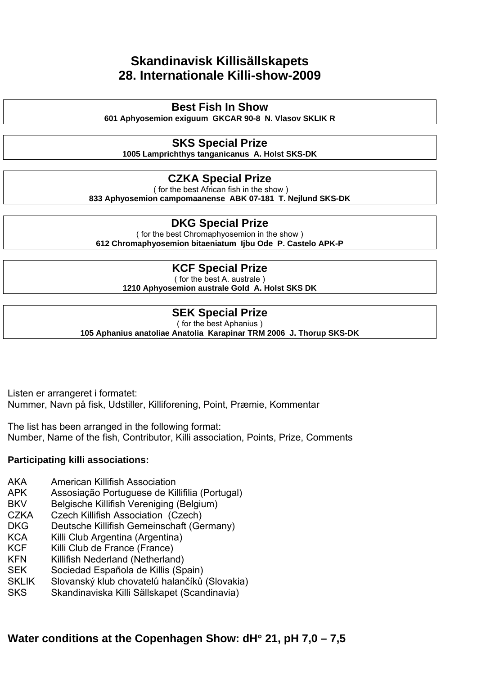## **Skandinavisk Killisällskapets 28. Internationale Killi-show-2009**

## **Best Fish In Show**

**601 Aphyosemion exiguum GKCAR 90-8 N. Vlasov SKLIK R** 

## **SKS Special Prize**

**1005 Lamprichthys tanganicanus A. Holst SKS-DK** 

## **CZKA Special Prize**

 ( for the best African fish in the show ) **833 Aphyosemion campomaanense ABK 07-181 T. Nejlund SKS-DK** 

## **DKG Special Prize**

( for the best Chromaphyosemion in the show ) **612 Chromaphyosemion bitaeniatum Ijbu Ode P. Castelo APK-P** 

## **KCF Special Prize**

( for the best A. australe ) **1210 Aphyosemion australe Gold A. Holst SKS DK** 

## **SEK Special Prize**

( for the best Aphanius ) **105 Aphanius anatoliae Anatolia Karapinar TRM 2006 J. Thorup SKS-DK** 

Listen er arrangeret i formatet: Nummer, Navn på fisk, Udstiller, Killiforening, Point, Præmie, Kommentar

The list has been arranged in the following format: Number, Name of the fish, Contributor, Killi association, Points, Prize, Comments

## **Participating killi associations:**

- AKA American Killifish Association
- APK Assosiação Portuguese de Killifilia (Portugal)
- BKV Belgische Killifish Vereniging (Belgium)
- CZKA Czech Killifish Association (Czech)
- DKG Deutsche Killifish Gemeinschaft (Germany)
- KCA Killi Club Argentina (Argentina)
- KCF Killi Club de France (France)
- KFN Killifish Nederland (Netherland)
- SEK Sociedad Española de Killis (Spain)
- SKLIK Slovanský klub chovatelů halančíků (Slovakia)
- SKS Skandinaviska Killi Sällskapet (Scandinavia)

## **Water conditions at the Copenhagen Show: dH**° **21, pH 7,0 – 7,5**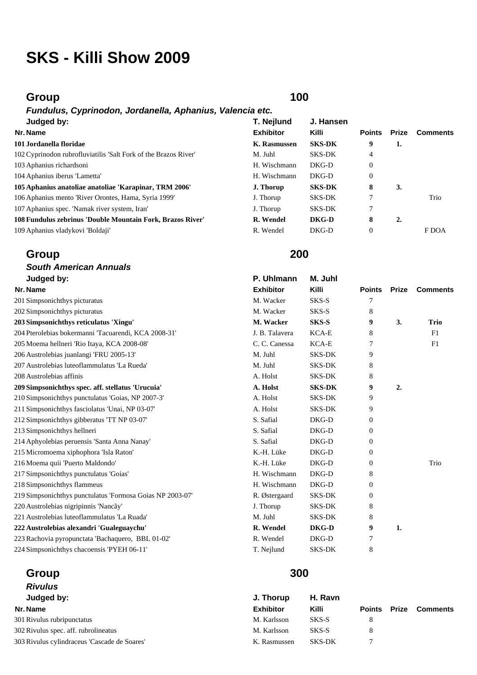# **SKS - Killi Show 2009**

## **Group 100**

### *Fundulus, Cyprinodon, Jordanella, Aphanius, Valencia etc.*  **Judged by:**

### **101 Jordanella floridae**

## **Group 200**

### *South American Annuals*  **Judged by: P. Uhlmann M. Juhl Nr. Name Exhibitor Killi Points Prize Comments** 201 Simpsonichthys picturatus Theorem 201 Simpsonichthys picturatus Theorem 201 Simpsonichthys picturatus Theorem 201 Simpsonichthys picturatus Theorem 201 Simpsonichthys picturatus Theorem 201 Simpsonic Theorem 201 Simpso 202 Simpsonichthys picturatus 8 and 8 and 8 and 8 and 8 and 8 and 8 and 8 and 8 and 8 and 8 and 8 and 8 and 8 and 8 and 8 and 8 and 8 and 8 and 8 and 8 and 8 and 8 and 8 and 8 and 8 and 8 and 8 and 8 and 8 and 8 and 8 and **203 Simpsonichthys reticulatus 'Xingu' M. Wacker SKS-S 9 3. Trio**  204 Pterolebias bokermanni 'Tacuarendi, KCA 2008-31' J. B. Talavera KCA-E 8 F1 205 Moema hellneri 'Rio Itaya, KCA 2008-08' C. C. Canessa KCA-E 7 F1 206 Austrolebias juanlangi 'FRU 2005-13' M. Juhl SKS-DK 9 207 Austrolebias luteoflammulatus 'La Rueda' M. Juhl SKS-DK 8 208 Austrolebias affinis and the state of the state of the SKS-DK 8 and SKS-DK 8 and SKS-DK 8 and SKS-DK 8 and SKS-DK 8 and SKS-DK 8 and SKS-DK 8 and SKS-DK 8 and SKS-DK 8 and SKS-DK 8 and SKS-DK 8 and SKS-DK 8 and SKS-DK **209 Simpsonichthys spec. aff. stellatus 'Urucuia' A. Holst SKS-DK 9 2.**  210 Simpsonichthys punctulatus 'Goias, NP 2007-3' A. Holst SKS-DK 9 211 Simpsonichthys fasciolatus 'Unai, NP 03-07' A. Holst SKS-DK 9 212 Simpsonichthys gibberatus 'TT NP 03-07' S. Safial DKG-D 0 213 Simpsonichthys hellneri S. Safial DKG-D 0 214 Aphyolebias peruensis 'Santa Anna Nanay' S. Safial DKG-D 0 215 Micromoema xiphophora 'Isla Raton' K.-H. Lüke DKG-D 0 216 Moema quii 'Puerto Maldondo' K.-H. Lüke DKG-D 0 Trio 217 Simpsonichthys punctulatus 'Goias' H. Wischmann DKG-D 8 218 Simpsonichthys flammeus **H. Wischmann** DKG-D 0 219 Simpsonichthys punctulatus 'Formosa Goias NP 2003-07' R. Østergaard SKS-DK 0 220 Austrolebias nigripinnis 'Nancãy' J. Thorup SKS-DK 8 221 Austrolebias luteoflammulatus 'La Ruada' M. Juhl SKS-DK 8 **222 Austrolebias alexandri 'Gualeguaychu' R. Wendel DKG-D 9 1.**  223 Rachovia pyropunctata 'Bachaquero, BBL 01-02' R. Wendel DKG-D 7 224 Simpsonichthys chacoensis 'PYEH 06-11' T. Neilund SKS-DK 8

# **Group 300**

### *Rivulus*  **Judged by: J. Thorup H. Ravn Nr. Name Exhibitor Killi Points Prize Comments** 301 Rivulus rubripunctatus M. Karlsson SKS-S 8 302 Rivulus spec. aff. rubrolineatus M. Karlsson SKS-S 8 303 Rivulus cylindraceus 'Cascade de Soares' K. Rasmussen SKS-DK 7

| Judged by:                                                      | T. Nejlund       | J. Hansen     |                |       |                 |
|-----------------------------------------------------------------|------------------|---------------|----------------|-------|-----------------|
| Nr. Name                                                        | <b>Exhibitor</b> | <b>Killi</b>  | <b>Points</b>  | Prize | <b>Comments</b> |
| 101 Jordanella floridae                                         | K. Rasmussen     | <b>SKS-DK</b> | 9              | 1.    |                 |
| 102 Cyprinodon rubrofluviatilis 'Salt Fork of the Brazos River' | M. Juhl          | <b>SKS-DK</b> | 4              |       |                 |
| 103 Aphanius richardsoni                                        | H. Wischmann     | DKG-D         | $\overline{0}$ |       |                 |
| 104 Aphanius iberus 'Lametta'                                   | H. Wischmann     | DKG-D         | $\overline{0}$ |       |                 |
| 105 Aphanius anatoliae anatoliae 'Karapinar, TRM 2006'          | J. Thorup        | <b>SKS-DK</b> | 8              | 3.    |                 |
| 106 Aphanius mento 'River Orontes, Hama, Syria 1999'            | J. Thorup        | <b>SKS-DK</b> |                |       | Trio            |
| 107 Aphanius spec. 'Namak river system, Iran'                   | J. Thorup        | <b>SKS-DK</b> | 7              |       |                 |
| 108 Fundulus zebrinus 'Double Mountain Fork, Brazos River'      | R. Wendel        | DKG-D         | 8              | 2.    |                 |
| 109 Aphanius vladykovi 'Boldaji'                                | R. Wendel        | DKG-D         | $\theta$       |       | F DOA           |
|                                                                 |                  |               |                |       |                 |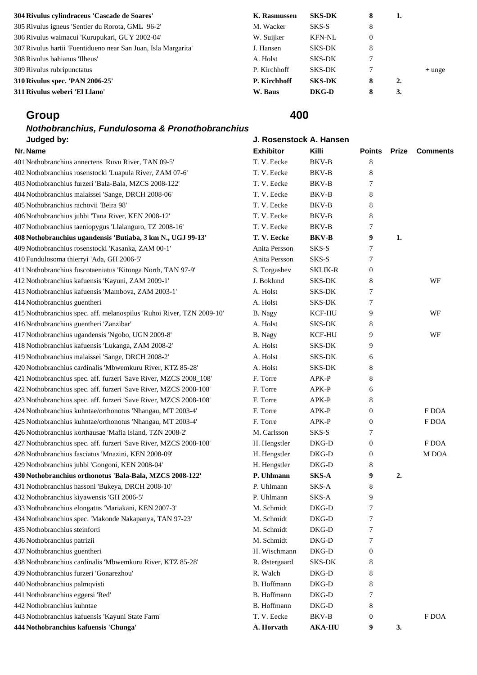| 304 Rivulus cylindraceus 'Cascade de Soares'                   | K. Rasmussen | <b>SKS-DK</b> | 8 | 1. |          |
|----------------------------------------------------------------|--------------|---------------|---|----|----------|
| 305 Rivulus igneus 'Sentier du Rorota, GML 96-2'               | M. Wacker    | SKS-S         | 8 |    |          |
| 306 Rivulus waimacui 'Kurupukari, GUY 2002-04'                 | W. Suijker   | <b>KFN-NL</b> | 0 |    |          |
| 307 Rivulus hartii 'Fuentidueno near San Juan, Isla Margarita' | J. Hansen    | <b>SKS-DK</b> | 8 |    |          |
| 308 Rivulus bahianus 'Ilheus'                                  | A. Holst     | SKS-DK        |   |    |          |
| 309 Rivulus rubripunctatus                                     | P. Kirchhoff | SKS-DK        |   |    | $+$ unge |
| 310 Rivulus spec. 'PAN 2006-25'                                | P. Kirchhoff | <b>SKS-DK</b> | 8 | 2. |          |
| 311 Rivulus weberi 'El Llano'                                  | W. Baus      | DKG-D         | 8 | 3. |          |

## *Nothobranchius, Fundulosoma & Pronothobranchius*  **Judged by: J. Ros**

| 404 Nothobranchius malaissei 'Sange, DRCH 2008-06'                                        | T. V. Eecke   | BKV-B          | 8                |    |       |
|-------------------------------------------------------------------------------------------|---------------|----------------|------------------|----|-------|
| 405 Nothobranchius rachovii 'Beira 98'                                                    | T. V. Eecke   | BKV-B          | 8                |    |       |
| 406 Nothobranchius jubbi 'Tana River, KEN 2008-12'                                        | T. V. Eecke   | BKV-B          | 8                |    |       |
| 407 Nothobranchius taeniopygus 'Llalanguro, TZ 2008-16'                                   | T. V. Eecke   | BKV-B          | 7                |    |       |
| 408 Nothobranchius ugandensis 'Butiaba, 3 km N., UGJ 99-13'                               | T.V. Eecke    | <b>BKV-B</b>   | 9                | 1. |       |
| 409 Nothobranchius rosenstocki 'Kasanka, ZAM 00-1'                                        | Anita Persson | SKS-S          | $\boldsymbol{7}$ |    |       |
| 410 Fundulosoma thierryi 'Ada, GH 2006-5'                                                 | Anita Persson | SKS-S          | 7                |    |       |
| 411 Nothobranchius fuscotaeniatus 'Kitonga North, TAN 97-9'                               | S. Torgashev  | <b>SKLIK-R</b> | $\mathbf{0}$     |    |       |
| 412 Nothobranchius kafuensis 'Kayuni, ZAM 2009-1'                                         | J. Boklund    | SKS-DK         | 8                |    | WF    |
| 413 Nothobranchius kafuensis 'Mambova, ZAM 2003-1'                                        | A. Holst      | SKS-DK         | 7                |    |       |
| 414 Nothobranchius guentheri                                                              | A. Holst      | SKS-DK         | 7                |    |       |
| 415 Nothobranchius spec. aff. melanospilus 'Ruhoi River, TZN 2009-10'                     | B. Nagy       | <b>KCF-HU</b>  | 9                |    | WF    |
| 416 Nothobranchius guentheri 'Zanzibar'                                                   | A. Holst      | SKS-DK         | 8                |    |       |
| 417 Nothobranchius ugandensis 'Ngobo, UGN 2009-8'                                         | B. Nagy       | <b>KCF-HU</b>  | 9                |    | WF    |
| 418 Nothobranchius kafuensis 'Lukanga, ZAM 2008-2'                                        | A. Holst      | SKS-DK         | 9                |    |       |
| 419 Nothobranchius malaissei 'Sange, DRCH 2008-2'                                         | A. Holst      | SKS-DK         | 6                |    |       |
| 420 Nothobranchius cardinalis 'Mbwemkuru River, KTZ 85-28'                                | A. Holst      | <b>SKS-DK</b>  | 8                |    |       |
| 421 Nothobranchius spec. aff. furzeri 'Save River, MZCS 2008_108'                         | F. Torre      | APK-P          | 8                |    |       |
| 422 Nothobranchius spec. aff. furzeri 'Save River, MZCS 2008-108'                         | F. Torre      | APK-P          | 6                |    |       |
| 423 Nothobranchius spec. aff. furzeri 'Save River, MZCS 2008-108'                         | F. Torre      | APK-P          | 8                |    |       |
| 424 Nothobranchius kuhntae/orthonotus 'Nhangau, MT 2003-4'                                | F. Torre      | APK-P          | $\boldsymbol{0}$ |    | F DOA |
| 425 Nothobranchius kuhntae/orthonotus 'Nhangau, MT 2003-4'                                | F. Torre      | APK-P          | $\mathbf{0}$     |    | F DOA |
| 426 Nothobranchius korthausae 'Mafia Island, TZN 2008-2'                                  | M. Carlsson   | SKS-S          | 7                |    |       |
| 427 Nothobranchius spec. aff. furzeri 'Save River, MZCS 2008-108'                         | H. Hengstler  | DKG-D          | $\boldsymbol{0}$ |    | F DOA |
| 428 Nothobranchius fasciatus 'Mnazini, KEN 2008-09'                                       | H. Hengstler  | DKG-D          | $\boldsymbol{0}$ |    | M DOA |
| 429 Nothobranchius jubbi 'Gongoni, KEN 2008-04'                                           | H. Hengstler  | DKG-D          | 8                |    |       |
| 430 Nothobranchius orthonotus 'Bala-Bala, MZCS 2008-122'                                  | P. Uhlmann    | SKS-A          | 9                | 2. |       |
| 431 Nothobranchius hassoni 'Bukeya, DRCH 2008-10'                                         | P. Uhlmann    | SKS-A          | 8                |    |       |
| 432 Nothobranchius kiyawensis 'GH 2006-5'                                                 | P. Uhlmann    | SKS-A          | 9                |    |       |
| 433 Nothobranchius elongatus 'Mariakani, KEN 2007-3'                                      | M. Schmidt    | DKG-D          | 7                |    |       |
| 434 Nothobranchius spec. 'Makonde Nakapanya, TAN 97-23'                                   | M. Schmidt    | DKG-D          | 7                |    |       |
| 435 Nothobranchius steinforti                                                             | M. Schmidt    | DKG-D          | 7                |    |       |
| 436 Nothobranchius patrizii                                                               | M. Schmidt    | DKG-D          | 7                |    |       |
| 437 Nothobranchius guentheri                                                              | H. Wischmann  | DKG-D          | $\mathbf{0}$     |    |       |
|                                                                                           | R. Østergaard | SKS-DK         | 8                |    |       |
| 438 Nothobranchius cardinalis 'Mbwemkuru River, KTZ 85-28'                                | R. Walch      | DKG-D          | 8                |    |       |
| 439 Nothobranchius furzeri 'Gonarezhou'                                                   |               |                |                  |    |       |
| 440 Nothobranchius palmqvisti                                                             | B. Hoffmann   | DKG-D          | 8                |    |       |
| 441 Nothobranchius eggersi 'Red'                                                          | B. Hoffmann   | DKG-D          | 7                |    |       |
| 442 Nothobranchius kuhntae                                                                | B. Hoffmann   | DKG-D          | 8                |    |       |
| 443 Nothobranchius kafuensis 'Kayuni State Farm'<br>444 Nothobranchius kafuensis 'Chunga' | T. V. Eecke   | BKV-B          | $\mathbf{0}$     | 3. | F DOA |

| senstock A. Hans |        |  |
|------------------|--------|--|
| .                | 17:11: |  |

| Judged by:                                                            | J. Rosenstock A. Hansen |                |                  |              |                 |
|-----------------------------------------------------------------------|-------------------------|----------------|------------------|--------------|-----------------|
| Nr. Name                                                              | <b>Exhibitor</b>        | Killi          | <b>Points</b>    | <b>Prize</b> | <b>Comments</b> |
| 401 Nothobranchius annectens 'Ruvu River, TAN 09-5'                   | T. V. Eecke             | BKV-B          | 8                |              |                 |
| 402 Nothobranchius rosenstocki 'Luapula River, ZAM 07-6'              | T. V. Eecke             | BKV-B          | 8                |              |                 |
| 403 Nothobranchius furzeri 'Bala-Bala, MZCS 2008-122'                 | T. V. Eecke             | BKV-B          | 7                |              |                 |
| 404 Nothobranchius malaissei 'Sange, DRCH 2008-06'                    | T. V. Eecke             | BKV-B          | 8                |              |                 |
| 405 Nothobranchius rachovii 'Beira 98'                                | T. V. Eecke             | BKV-B          | 8                |              |                 |
| 406 Nothobranchius jubbi 'Tana River, KEN 2008-12'                    | T. V. Eecke             | BKV-B          | 8                |              |                 |
| 407 Nothobranchius taeniopygus 'Llalanguro, TZ 2008-16'               | T. V. Eecke             | BKV-B          | 7                |              |                 |
| 408 Nothobranchius ugandensis 'Butiaba, 3 km N., UGJ 99-13'           | T.V. Eecke              | <b>BKV-B</b>   | 9                | 1.           |                 |
| 409 Nothobranchius rosenstocki 'Kasanka, ZAM 00-1'                    | Anita Persson           | SKS-S          | 7                |              |                 |
| 410 Fundulosoma thierryi 'Ada, GH 2006-5'                             | Anita Persson           | SKS-S          | 7                |              |                 |
| 411 Nothobranchius fuscotaeniatus 'Kitonga North, TAN 97-9'           | S. Torgashev            | <b>SKLIK-R</b> | 0                |              |                 |
| 412 Nothobranchius kafuensis 'Kayuni, ZAM 2009-1'                     | J. Boklund              | SKS-DK         | 8                |              | WF              |
| 413 Nothobranchius kafuensis 'Mambova, ZAM 2003-1'                    | A. Holst                | SKS-DK         | 7                |              |                 |
| 414 Nothobranchius guentheri                                          | A. Holst                | SKS-DK         | 7                |              |                 |
| 415 Nothobranchius spec. aff. melanospilus 'Ruhoi River, TZN 2009-10' | B. Nagy                 | <b>KCF-HU</b>  | 9                |              | WF              |
| 416 Nothobranchius guentheri 'Zanzibar'                               | A. Holst                | SKS-DK         | 8                |              |                 |
| 417 Nothobranchius ugandensis 'Ngobo, UGN 2009-8'                     | B. Nagy                 | <b>KCF-HU</b>  | 9                |              | WF              |
| 418 Nothobranchius kafuensis 'Lukanga, ZAM 2008-2'                    | A. Holst                | <b>SKS-DK</b>  | 9                |              |                 |
| 419 Nothobranchius malaissei 'Sange, DRCH 2008-2'                     | A. Holst                | SKS-DK         | 6                |              |                 |
| 420 Nothobranchius cardinalis 'Mbwemkuru River, KTZ 85-28'            | A. Holst                | SKS-DK         | 8                |              |                 |
| 421 Nothobranchius spec. aff. furzeri 'Save River, MZCS 2008_108'     | F. Torre                | APK-P          | 8                |              |                 |
| 422 Nothobranchius spec. aff. furzeri 'Save River, MZCS 2008-108'     | F. Torre                | APK-P          | 6                |              |                 |
| 423 Nothobranchius spec. aff. furzeri 'Save River, MZCS 2008-108'     | F. Torre                | APK-P          | 8                |              |                 |
| 424 Nothobranchius kuhntae/orthonotus 'Nhangau, MT 2003-4'            | F. Torre                | APK-P          | $\mathbf{0}$     |              | F DOA           |
| 425 Nothobranchius kuhntae/orthonotus 'Nhangau, MT 2003-4'            | F. Torre                | APK-P          | $\boldsymbol{0}$ |              | F DOA           |
| 426 Nothobranchius korthausae 'Mafia Island, TZN 2008-2'              | M. Carlsson             | SKS-S          | 7                |              |                 |
| 427 Nothobranchius spec. aff. furzeri 'Save River, MZCS 2008-108'     | H. Hengstler            | DKG-D          | $\mathbf{0}$     |              | F DOA           |
| 428 Nothobranchius fasciatus 'Mnazini, KEN 2008-09'                   | H. Hengstler            | DKG-D          | $\boldsymbol{0}$ |              | M DOA           |
| 429 Nothobranchius jubbi 'Gongoni, KEN 2008-04'                       | H. Hengstler            | DKG-D          | 8                |              |                 |
| 430 Nothobranchius orthonotus 'Bala-Bala, MZCS 2008-122'              | P. Uhlmann              | <b>SKS-A</b>   | 9                | 2.           |                 |
| 431 Nothobranchius hassoni 'Bukeya, DRCH 2008-10'                     | P. Uhlmann              | SKS-A          | 8                |              |                 |
| 432 Nothobranchius kiyawensis 'GH 2006-5'                             | P. Uhlmann              | SKS-A          | 9                |              |                 |
| 433 Nothobranchius elongatus 'Mariakani, KEN 2007-3'                  | M. Schmidt              | DKG-D          | 7                |              |                 |
| 434 Nothobranchius spec. 'Makonde Nakapanya, TAN 97-23'               | M. Schmidt              | DKG-D          | 7                |              |                 |
| 435 Nothobranchius steinforti                                         | M. Schmidt              | DKG-D          | 7                |              |                 |
| 436 Nothobranchius patrizii                                           | M. Schmidt              | DKG-D          | 7                |              |                 |
| 437 Nothobranchius guentheri                                          | H. Wischmann            | DKG-D          | $\mathbf{0}$     |              |                 |
| 438 Nothobranchius cardinalis 'Mbwemkuru River, KTZ 85-28'            | R. Østergaard           | SKS-DK         | 8                |              |                 |
| 439 Nothobranchius furzeri 'Gonarezhou'                               | R. Walch                | DKG-D          | 8                |              |                 |
| 440 Nothobranchius palmqvisti                                         | B. Hoffmann             | DKG-D          | 8                |              |                 |
| 441 Nothobranchius eggersi 'Red'                                      | B. Hoffmann             | DKG-D          | 7                |              |                 |
| 442 Nothobranchius kuhntae                                            | B. Hoffmann             | DKG-D          | 8                |              |                 |
| 443 Nothobranchius kafuensis 'Kayuni State Farm'                      | T. V. Eecke             | BKV-B          | $\boldsymbol{0}$ |              | F DOA           |
|                                                                       |                         |                |                  |              |                 |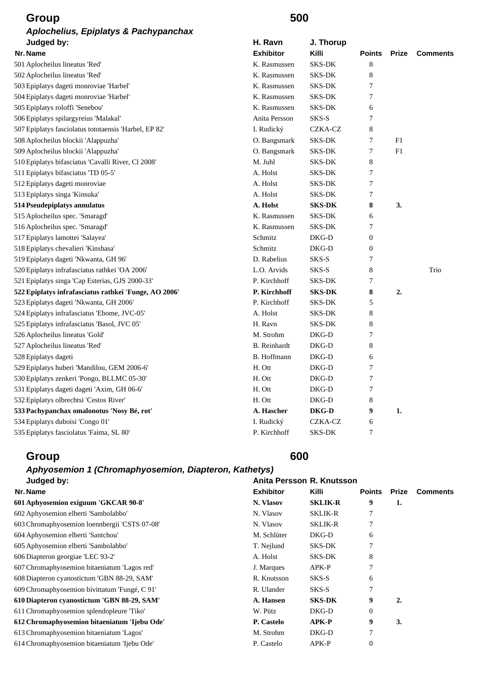| <b>Group</b>                                          | 500                 |                |               |              |                 |
|-------------------------------------------------------|---------------------|----------------|---------------|--------------|-----------------|
| Aplochelius, Epiplatys & Pachypanchax                 |                     |                |               |              |                 |
| Judged by:                                            | H. Ravn             | J. Thorup      |               |              |                 |
| Nr. Name                                              | <b>Exhibitor</b>    | Killi          | <b>Points</b> | <b>Prize</b> | <b>Comments</b> |
| 501 Aplocheilus lineatus 'Red'                        | K. Rasmussen        | SKS-DK         | 8             |              |                 |
| 502 Aplocheilus lineatus 'Red'                        | K. Rasmussen        | <b>SKS-DK</b>  | 8             |              |                 |
| 503 Epiplatys dageti monroviae 'Harbel'               | K. Rasmussen        | SKS-DK         | 7             |              |                 |
| 504 Epiplatys dageti monroviae 'Harbel'               | K. Rasmussen        | <b>SKS-DK</b>  | 7             |              |                 |
| 505 Epiplatys roloffi 'Senebou'                       | K. Rasmussen        | SKS-DK         | 6             |              |                 |
| 506 Epiplatys spilargyreius 'Malakal'                 | Anita Persson       | SKS-S          | 7             |              |                 |
| 507 Epiplatys fasciolatus tototaensis 'Harbel, EP 82' | I. Rudický          | <b>CZKA-CZ</b> | 8             |              |                 |
| 508 Aplocheilus blockii 'Alappuzha'                   | O. Bangsmark        | SKS-DK         | 7             | F1           |                 |
| 509 Aplocheilus blockii 'Alappuzha'                   | O. Bangsmark        | <b>SKS-DK</b>  | 7             | F1           |                 |
| 510 Epiplatys bifasciatus 'Cavalli River, Cl 2008'    | M. Juhl             | <b>SKS-DK</b>  | 8             |              |                 |
| 511 Epiplatys bifasciatus 'TD 05-5'                   | A. Holst            | <b>SKS-DK</b>  | 7             |              |                 |
| 512 Epiplatys dageti monroviae                        | A. Holst            | <b>SKS-DK</b>  | 7             |              |                 |
| 513 Epiplatys singa 'Kinsuka'                         | A. Holst            | <b>SKS-DK</b>  | 7             |              |                 |
| 514 Pseudepiplatys annulatus                          | A. Holst            | <b>SKS-DK</b>  | 8             | 3.           |                 |
| 515 Aplocheilus spec. 'Smaragd'                       | K. Rasmussen        | SKS-DK         | 6             |              |                 |
| 516 Aplocheilus spec. 'Smaragd'                       | K. Rasmussen        | <b>SKS-DK</b>  | 7             |              |                 |
| 517 Epiplatys lamottei 'Salayea'                      | Schmitz             | DKG-D          | $\theta$      |              |                 |
| 518 Epiplatys chevalieri 'Kinshasa'                   | Schmitz             | DKG-D          | $\theta$      |              |                 |
| 519 Epiplatys dageti 'Nkwanta, GH 96'                 | D. Rabelius         | SKS-S          | 7             |              |                 |
| 520 Epiplatys infrafasciatus rathkei 'OA 2006'        | L.O. Arvids         | SKS-S          | 8             |              | Trio            |
| 521 Epiplatys singa 'Cap Esterias, GJS 2000-33'       | P. Kirchhoff        | SKS-DK         | 7             |              |                 |
| 522 Epiplatys infrafasciatus rathkei 'Funge, AO 2006' | P. Kirchhoff        | <b>SKS-DK</b>  | 8             | 2.           |                 |
| 523 Epiplatys dageti 'Nkwanta, GH 2006'               | P. Kirchhoff        | SKS-DK         | 5             |              |                 |
| 524 Epiplatys infrafasciatus 'Ebome, JVC-05'          | A. Holst            | <b>SKS-DK</b>  | 8             |              |                 |
| 525 Epiplatys infrafasciatus 'Basol, JVC 05'          | H. Ravn             | <b>SKS-DK</b>  | 8             |              |                 |
| 526 Aplocheilus lineatus 'Gold'                       | M. Strohm           | DKG-D          | 7             |              |                 |
| 527 Aplocheilus lineatus 'Red'                        | <b>B.</b> Reinhardt | DKG-D          | 8             |              |                 |
| 528 Epiplatys dageti                                  | B. Hoffmann         | DKG-D          | 6             |              |                 |
| 529 Epiplatys huberi 'Mandilou, GEM 2006-6'           | H. Ott              | DKG-D          | 7             |              |                 |
| 530 Epiplatys zenkeri 'Pongo, BLLMC 05-30'            | H. Ott              | DKG-D          | 7             |              |                 |
| 531 Epiplatys dageti dageti 'Axim, GH 06-6'           | H. Ott              | DKG-D          | 7             |              |                 |
| 532 Epiplatys olbrechtsi 'Cestos River'               | H. Ott              | $DKG-D$        | 8             |              |                 |
| 533 Pachypanchax omalonotus 'Nosy Bé, rot'            | A. Hascher          | DKG-D          | 9             | 1.           |                 |
| 534 Epiplatys duboisi 'Congo 01'                      | I. Rudický          | CZKA-CZ        | 6             |              |                 |
| 535 Epiplatys fasciolatus 'Faima, SL 80'              | P. Kirchhoff        | SKS-DK         | 7             |              |                 |

# *Aphyosemion 1 (Chromaphyosemion, Diapteron, Kathetys)*

| Judged by:                                    | Anita Persson R. Knutsson |                |                  |       |                 |
|-----------------------------------------------|---------------------------|----------------|------------------|-------|-----------------|
| Nr. Name                                      | <b>Exhibitor</b>          | <b>Killi</b>   | <b>Points</b>    | Prize | <b>Comments</b> |
| 601 Aphyosemion exiguum 'GKCAR 90-8'          | N. Vlasov                 | <b>SKLIK-R</b> | 9                | 1.    |                 |
| 602 Aphyosemion elberti 'Sambolabbo'          | N. Vlasov                 | <b>SKLIK-R</b> | 7                |       |                 |
| 603 Chromaphyosemion loennbergii 'CSTS 07-08' | N. Vlasov                 | <b>SKLIK-R</b> | 7                |       |                 |
| 604 Aphyosemion elberti 'Santchou'            | M. Schlüter               | DKG-D          | 6                |       |                 |
| 605 Aphyosemion elberti 'Sambolabbo'          | T. Nejlund                | SKS-DK         | 7                |       |                 |
| 606 Diapteron georgiae 'LEC 93-2'             | A. Holst                  | SKS-DK         | 8                |       |                 |
| 607 Chromaphyosemion bitaeniatum 'Lagos red'  | J. Marques                | $APK-P$        | 7                |       |                 |
| 608 Diapteron cyanostictum 'GBN 88-29, SAM'   | R. Knutsson               | SKS-S          | 6                |       |                 |
| 609 Chromaphyosemion bivittatum 'Fungé, C 91' | R. Ulander                | SKS-S          | $\overline{7}$   |       |                 |
| 610 Diapteron cyanostictum 'GBN 88-29, SAM'   | A. Hansen                 | <b>SKS-DK</b>  | 9                | 2.    |                 |
| 611 Chromaphyosemion splendopleure "Tiko"     | W. Pütz                   | DKG-D          | $\theta$         |       |                 |
| 612 Chromaphyosemion bitaeniatum 'Ijebu Ode'  | P. Castelo                | $APK-P$        | 9                | 3.    |                 |
| 613 Chromaphyosemion bitaeniatum 'Lagos'      | M. Strohm                 | DKG-D          | $\overline{7}$   |       |                 |
| 614 Chromaphyosemion bitaeniatum 'Ijebu Ode'  | P. Castelo                | APK-P          | $\boldsymbol{0}$ |       |                 |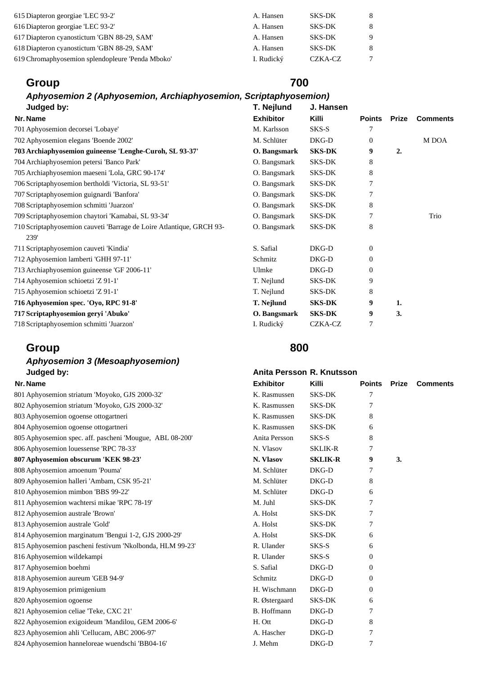| A. Hansen  | <b>SKS-DK</b> | -8     |
|------------|---------------|--------|
| A. Hansen  | <b>SKS-DK</b> | -8     |
| A. Hansen  | <b>SKS-DK</b> | -9     |
| A. Hansen  | <b>SKS-DK</b> | 8      |
| I. Rudický | CZKA-CZ       | $\tau$ |
|            |               |        |

## *Aphyosemion 2 (Aphyosemion, Archiaphyosemion, Scriptaphyosemion)*

| Judged by:                                                           | T. Nejlund       | J. Hansen     |                |              |                 |
|----------------------------------------------------------------------|------------------|---------------|----------------|--------------|-----------------|
| Nr. Name                                                             | <b>Exhibitor</b> | Killi         | <b>Points</b>  | <b>Prize</b> | <b>Comments</b> |
| 701 Aphyosemion decorsei 'Lobaye'                                    | M. Karlsson      | SKS-S         |                |              |                 |
| 702 Aphyosemion elegans 'Boende 2002'                                | M. Schlüter      | DKG-D         | $\overline{0}$ |              | M DOA           |
| 703 Archiaphyosemion guineense 'Lenghe-Curoh, SL 93-37'              | O. Bangsmark     | <b>SKS-DK</b> | 9              | 2.           |                 |
| 704 Archiaphyosemion petersi 'Banco Park'                            | O. Bangsmark     | <b>SKS-DK</b> | 8              |              |                 |
| 705 Archiaphyosemion maeseni 'Lola, GRC 90-174'                      | O. Bangsmark     | <b>SKS-DK</b> | 8              |              |                 |
| 706 Scriptaphyosemion bertholdi 'Victoria, SL 93-51'                 | O. Bangsmark     | SKS-DK        | 7              |              |                 |
| 707 Scriptaphyosemion guignardi 'Banfora'                            | O. Bangsmark     | <b>SKS-DK</b> | 7              |              |                 |
| 708 Scriptaphyosemion schmitti 'Juarzon'                             | O. Bangsmark     | <b>SKS-DK</b> | 8              |              |                 |
| 709 Scriptaphyosemion chaytori 'Kamabai, SL 93-34'                   | O. Bangsmark     | SKS-DK        | 7              |              | Trio            |
| 710 Scriptaphyosemion cauveti 'Barrage de Loire Atlantique, GRCH 93- | O. Bangsmark     | SKS-DK        | 8              |              |                 |
| 239'                                                                 |                  |               |                |              |                 |
| 711 Scriptaphyosemion cauveti 'Kindia'                               | S. Safial        | DKG-D         | $\overline{0}$ |              |                 |
| 712 Aphyosemion lamberti 'GHH 97-11'                                 | Schmitz          | DKG-D         | $\theta$       |              |                 |
| 713 Archiaphyosemion guineense 'GF 2006-11'                          | Ulmke            | DKG-D         | $\theta$       |              |                 |
| 714 Aphyosemion schioetzi 'Z 91-1'                                   | T. Nejlund       | SKS-DK        | 9              |              |                 |
| 715 Aphyosemion schioetzi 'Z 91-1'                                   | T. Nejlund       | <b>SKS-DK</b> | 8              |              |                 |
| 716 Aphyosemion spec. 'Oyo, RPC 91-8'                                | T. Nejlund       | <b>SKS-DK</b> | 9              | 1.           |                 |
| 717 Scriptaphyosemion geryi 'Abuko'                                  | O. Bangsmark     | <b>SKS-DK</b> | 9              | 3.           |                 |
| 718 Scriptaphyosemion schmitti 'Juarzon'                             | I. Rudický       | CZKA-CZ       | 7              |              |                 |

## **Group 800**

## *Aphyosemion 3 (Mesoaphyosemion)*  **Judged by: Anita Persson R. Knutsson**

| 801 Aphyosemion striatum 'Moyoko, GJS 2000-32'           | K. Rasmussen  | <b>SKS-DK</b>  | 7            |    |
|----------------------------------------------------------|---------------|----------------|--------------|----|
| 802 Aphyosemion striatum 'Moyoko, GJS 2000-32'           | K. Rasmussen  | SKS-DK         | 7            |    |
| 803 Aphyosemion ogoense ottogartneri                     | K. Rasmussen  | SKS-DK         | 8            |    |
| 804 Aphyosemion ogoense ottogartneri                     | K. Rasmussen  | <b>SKS-DK</b>  | 6            |    |
| 805 Aphyosemion spec. aff. pascheni 'Mougue, ABL 08-200' | Anita Persson | SKS-S          | 8            |    |
| 806 Aphyosemion louessense 'RPC 78-33'                   | N. Vlasov     | <b>SKLIK-R</b> | 7            |    |
| 807 Aphyosemion obscurum 'KEK 98-23'                     | N. Vlasov     | <b>SKLIK-R</b> | 9            | 3. |
| 808 Aphyosemion amoenum 'Pouma'                          | M. Schlüter   | DKG-D          | 7            |    |
| 809 Aphyosemion halleri 'Ambam, CSK 95-21'               | M. Schlüter   | DKG-D          | 8            |    |
| 810 Aphyosemion mimbon 'BBS 99-22'                       | M. Schlüter   | $DKG-D$        | 6            |    |
| 811 Aphyosemion wachtersi mikae 'RPC 78-19'              | M. Juhl       | <b>SKS-DK</b>  | 7            |    |
| 812 Aphyosemion australe 'Brown'                         | A. Holst      | <b>SKS-DK</b>  | 7            |    |
| 813 Aphyosemion australe 'Gold'                          | A. Holst      | <b>SKS-DK</b>  | 7            |    |
| 814 Aphyosemion marginatum 'Bengui 1-2, GJS 2000-29'     | A. Holst      | <b>SKS-DK</b>  | 6            |    |
| 815 Aphyosemion pascheni festivum 'Nkolbonda, HLM 99-23' | R. Ulander    | SKS-S          | 6            |    |
| 816 Aphyosemion wildekampi                               | R. Ulander    | SKS-S          | $\mathbf{0}$ |    |
| 817 Aphyosemion boehmi                                   | S. Safial     | DKG-D          | $\Omega$     |    |
| 818 Aphyosemion aureum 'GEB 94-9'                        | Schmitz       | DKG-D          | $\Omega$     |    |
| 819 Aphyosemion primigenium                              | H. Wischmann  | DKG-D          | $\Omega$     |    |
| 820 Aphyosemion ogoense                                  | R. Østergaard | <b>SKS-DK</b>  | 6            |    |
| 821 Aphyosemion celiae 'Teke, CXC 21'                    | B. Hoffmann   | DKG-D          | 7            |    |
| 822 Aphyosemion exigoideum 'Mandilou, GEM 2006-6'        | H. Ott        | DKG-D          | 8            |    |
| 823 Aphyosemion ahli 'Cellucam, ABC 2006-97'             | A. Hascher    | DKG-D          | 7            |    |
| 824 Aphyosemion hanneloreae wuendschi 'BB04-16'          | J. Mehm       | DKG-D          | 7            |    |
|                                                          |               |                |              |    |

| Nr. Name                                                 | <b>Exhibitor</b> | Killi          | <b>Points</b> | Prize | <b>Comments</b> |
|----------------------------------------------------------|------------------|----------------|---------------|-------|-----------------|
| 801 Aphyosemion striatum 'Moyoko, GJS 2000-32'           | K. Rasmussen     | <b>SKS-DK</b>  | 7             |       |                 |
| 802 Aphyosemion striatum 'Moyoko, GJS 2000-32'           | K. Rasmussen     | <b>SKS-DK</b>  | 7             |       |                 |
| 803 Aphyosemion ogoense ottogartneri                     | K. Rasmussen     | <b>SKS-DK</b>  | 8             |       |                 |
| 804 Aphyosemion ogoense ottogartneri                     | K. Rasmussen     | <b>SKS-DK</b>  | 6             |       |                 |
| 805 Aphyosemion spec. aff. pascheni 'Mougue, ABL 08-200' | Anita Persson    | SKS-S          | 8             |       |                 |
| 806 Aphyosemion louessense 'RPC 78-33'                   | N. Vlasov        | <b>SKLIK-R</b> | 7             |       |                 |
| 807 Aphyosemion obscurum 'KEK 98-23'                     | N. Vlasov        | <b>SKLIK-R</b> | 9             | 3.    |                 |
| 808 Aphyosemion amoenum 'Pouma'                          | M. Schlüter      | DKG-D          | 7             |       |                 |
| 809 Aphyosemion halleri 'Ambam, CSK 95-21'               | M. Schlüter      | $DKG-D$        | 8             |       |                 |
| 810 Aphyosemion mimbon 'BBS 99-22'                       | M. Schlüter      | DKG-D          | 6             |       |                 |
| 811 Aphyosemion wachtersi mikae 'RPC 78-19'              | M. Juhl          | <b>SKS-DK</b>  | 7             |       |                 |
| 812 Aphyosemion australe 'Brown'                         | A. Holst         | <b>SKS-DK</b>  | 7             |       |                 |
| 813 Aphyosemion australe 'Gold'                          | A. Holst         | <b>SKS-DK</b>  | 7             |       |                 |
| 814 Aphyosemion marginatum 'Bengui 1-2, GJS 2000-29'     | A. Holst         | <b>SKS-DK</b>  | 6             |       |                 |
| 815 Aphyosemion pascheni festivum 'Nkolbonda, HLM 99-23' | R. Ulander       | SKS-S          | 6             |       |                 |
| 816 Aphyosemion wildekampi                               | R. Ulander       | SKS-S          | 0             |       |                 |
| 817 Aphyosemion boehmi                                   | S. Safial        | $DKG-D$        | 0             |       |                 |
| 818 Aphyosemion aureum 'GEB 94-9'                        | Schmitz          | $DKG-D$        | 0             |       |                 |
| 819 Aphyosemion primigenium                              | H. Wischmann     | DKG-D          | $\Omega$      |       |                 |
| 820 Aphyosemion ogoense                                  | R. Østergaard    | <b>SKS-DK</b>  | 6             |       |                 |
| 821 Aphyosemion celiae 'Teke, CXC 21'                    | B. Hoffmann      | DKG-D          | 7             |       |                 |
| 822 Aphyosemion exigoideum 'Mandilou, GEM 2006-6'        | H. Ott           | DKG-D          | 8             |       |                 |
| 823 Aphyosemion ahli 'Cellucam, ABC 2006-97'             | A. Hascher       | DKG-D          | 7             |       |                 |
| 824 Aphyosemion hanneloreae wuendschi 'BB04-16'          | J. Mehm          | DKG-D          | 7             |       |                 |
|                                                          |                  |                |               |       |                 |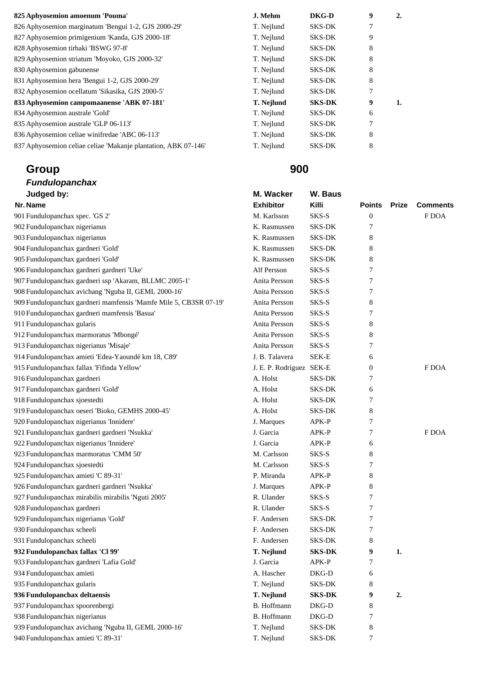| 825 Aphyosemion amoenum 'Pouma'                                | J. Mehm    | DKG-D         | 9 | 2. |
|----------------------------------------------------------------|------------|---------------|---|----|
| 826 Aphyosemion marginatum 'Bengui 1-2, GJS 2000-29'           | T. Nejlund | SKS-DK        |   |    |
| 827 Aphyosemion primigenium 'Kanda, GJS 2000-18'               | T. Nejlund | SKS-DK        | 9 |    |
| 828 Aphyosemion tirbaki 'BSWG 97-8'                            | T. Nejlund | SKS-DK        | 8 |    |
| 829 Aphyosemion striatum 'Moyoko, GJS 2000-32'                 | T. Nejlund | SKS-DK        | 8 |    |
| 830 Aphyosemion gabunense                                      | T. Nejlund | SKS-DK        | 8 |    |
| 831 Aphyosemion hera 'Bengui 1-2, GJS 2000-29'                 | T. Nejlund | SKS-DK        | 8 |    |
| 832 Aphyosemion ocellatum 'Sikasika, GJS 2000-5'               | T. Nejlund | SKS-DK        | 7 |    |
| 833 Aphyosemion campomaanense 'ABK 07-181'                     | T. Nejlund | <b>SKS-DK</b> | 9 | 1. |
| 834 Aphyosemion australe 'Gold'                                | T. Nejlund | SKS-DK        | 6 |    |
| 835 Aphyosemion australe 'GLP 06-113'                          | T. Nejlund | SKS-DK        | 7 |    |
| 836 Aphyosemion celiae winifredae 'ABC 06-113'                 | T. Nejlund | SKS-DK        | 8 |    |
| 837 Aphyosemion celiae celiae 'Makanie plantation, ABK 07-146' | T. Nejlund | <b>SKS-DK</b> | 8 |    |

### *Fundulopanchax*  **Judged by:** M. Wacker W. Baus **M. Wacker** W. B

| J. Mehm           | DKG-D         | 9 | 2. |
|-------------------|---------------|---|----|
| T. Nejlund        | <b>SKS-DK</b> | 7 |    |
| T. Nejlund        | <b>SKS-DK</b> | 9 |    |
| T. Nejlund        | <b>SKS-DK</b> | 8 |    |
| T. Nejlund        | <b>SKS-DK</b> | 8 |    |
| T. Nejlund        | <b>SKS-DK</b> | 8 |    |
| T. Nejlund        | <b>SKS-DK</b> | 8 |    |
| T. Nejlund        | <b>SKS-DK</b> | 7 |    |
| <b>T. Nejlund</b> | <b>SKS-DK</b> | 9 | 1. |
| T. Nejlund        | SKS-DK        | 6 |    |
| T. Nejlund        | <b>SKS-DK</b> | 7 |    |
| T. Nejlund        | SKS-DK        | 8 |    |
| T. Nejlund        | <b>SKS-DK</b> | 8 |    |

| Judged by:                                                        | M. Wacker                | W. Baus       |                  |       |                 |
|-------------------------------------------------------------------|--------------------------|---------------|------------------|-------|-----------------|
| Nr. Name                                                          | <b>Exhibitor</b>         | Killi         | Points           | Prize | <b>Comments</b> |
| 901 Fundulopanchax spec. 'GS 2'                                   | M. Karlsson              | SKS-S         | $\boldsymbol{0}$ |       | F DOA           |
| 902 Fundulopanchax nigerianus                                     | K. Rasmussen             | <b>SKS-DK</b> | 7                |       |                 |
| 903 Fundulopanchax nigerianus                                     | K. Rasmussen             | SKS-DK        | 8                |       |                 |
| 904 Fundulopanchax gardneri 'Gold'                                | K. Rasmussen             | <b>SKS-DK</b> | 8                |       |                 |
| 905 Fundulopanchax gardneri 'Gold'                                | K. Rasmussen             | <b>SKS-DK</b> | 8                |       |                 |
| 906 Fundulopanchax gardneri gardneri 'Uke'                        | Alf Persson              | SKS-S         | 7                |       |                 |
| 907 Fundulopanchax gardneri ssp 'Akaram, BLLMC 2005-1'            | Anita Persson            | SKS-S         | 7                |       |                 |
| 908 Fundulopanchax avichang 'Nguba II, GEML 2000-16'              | Anita Persson            | SKS-S         | 7                |       |                 |
| 909 Fundulopanchax gardneri mamfensis 'Mamfe Mile 5, CB3SR 07-19' | Anita Persson            | SKS-S         | 8                |       |                 |
| 910 Fundulopanchax gardneri mamfensis 'Basua'                     | Anita Persson            | SKS-S         | 7                |       |                 |
| 911 Fundulopanchax gularis                                        | Anita Persson            | SKS-S         | 8                |       |                 |
| 912 Fundulopanchax marmoratus 'Mbongé'                            | Anita Persson            | SKS-S         | 8                |       |                 |
| 913 Fundulopanchax nigerianus 'Misaje'                            | Anita Persson            | SKS-S         | 7                |       |                 |
| 914 Fundulopanchax amieti 'Edea-Yaoundé km 18, C89'               | J. B. Talavera           | SEK-E         | 6                |       |                 |
| 915 Fundulopanchax fallax 'Fifinda Yellow'                        | J. E. P. Rodriguez SEK-E |               | 0                |       | F DOA           |
| 916 Fundulopanchax gardneri                                       | A. Holst                 | <b>SKS-DK</b> | 7                |       |                 |
| 917 Fundulopanchax gardneri 'Gold'                                | A. Holst                 | <b>SKS-DK</b> | 6                |       |                 |
| 918 Fundulopanchax sjoestedti                                     | A. Holst                 | <b>SKS-DK</b> | 7                |       |                 |
| 919 Fundulopanchax oeseri 'Bioko, GEMHS 2000-45'                  | A. Holst                 | SKS-DK        | 8                |       |                 |
| 920 Fundulopanchax nigerianus 'Innidere'                          | J. Marques               | APK-P         | 7                |       |                 |
| 921 Fundulopanchax gardneri gardneri 'Nsukka'                     | J. Garcia                | APK-P         | 7                |       | F DOA           |
| 922 Fundulopanchax nigerianus 'Innidere'                          | J. Garcia                | APK-P         | 6                |       |                 |
| 923 Fundulopanchax marmoratus 'CMM 50'                            | M. Carlsson              | SKS-S         | 8                |       |                 |
| 924 Fundulopanchax sjoestedti                                     | M. Carlsson              | SKS-S         | 7                |       |                 |
| 925 Fundulopanchax amieti 'C 89-31'                               | P. Miranda               | APK-P         | 8                |       |                 |
| 926 Fundulopanchax gardneri gardneri 'Nsukka'                     | J. Marques               | APK-P         | 8                |       |                 |
| 927 Fundulopanchax mirabilis mirabilis 'Nguti 2005'               | R. Ulander               | SKS-S         | 7                |       |                 |
| 928 Fundulopanchax gardneri                                       | R. Ulander               | SKS-S         | 7                |       |                 |
| 929 Fundulopanchax nigerianus 'Gold'                              | F. Andersen              | SKS-DK        | 7                |       |                 |
| 930 Fundulopanchax scheeli                                        | F. Andersen              | <b>SKS-DK</b> | 7                |       |                 |
| 931 Fundulopanchax scheeli                                        | F. Andersen              | <b>SKS-DK</b> | 8                |       |                 |
| 932 Fundulopanchax fallax 'Cl 99'                                 | T. Nejlund               | <b>SKS-DK</b> | 9                | 1.    |                 |
| 933 Fundulopanchax gardneri 'Lafia Gold'                          | J. Garcia                | APK-P         | 7                |       |                 |
| 934 Fundulopanchax amieti                                         | A. Hascher               | DKG-D         | 6                |       |                 |
| 935 Fundulopanchax gularis                                        | T. Nejlund               | SKS-DK        | 8                |       |                 |
| 936 Fundulopanchax deltaensis                                     | T. Nejlund               | <b>SKS-DK</b> | 9                | 2.    |                 |
| 937 Fundulopanchax spoorenbergi                                   | B. Hoffmann              | $DKG-D$       | 8                |       |                 |
| 938 Fundulopanchax nigerianus                                     | B. Hoffmann              | DKG-D         | 7                |       |                 |
| 939 Fundulopanchax avichang 'Nguba II, GEML 2000-16'              | T. Nejlund               | <b>SKS-DK</b> | 8                |       |                 |
| 940 Fundulopanchax amieti 'C 89-31'                               | T. Nejlund               | <b>SKS-DK</b> | 7                |       |                 |
|                                                                   |                          |               |                  |       |                 |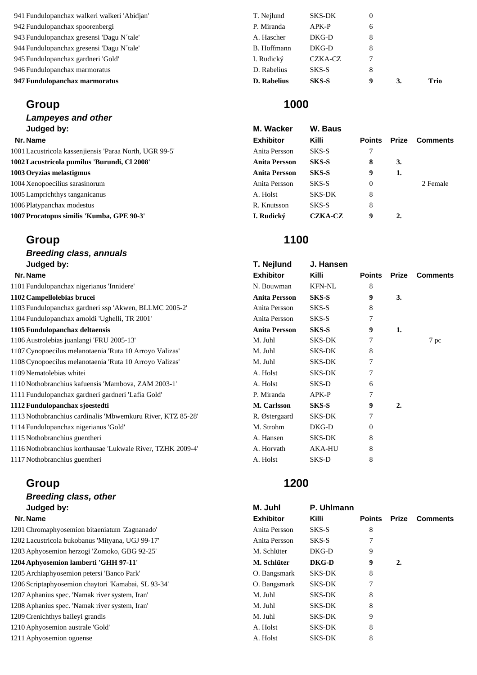| 947 Fundulopanchax marmoratus                | <b>D.</b> Rabelius | <b>SKS-S</b>  | 9 | Trio |
|----------------------------------------------|--------------------|---------------|---|------|
| 946 Fundulopanchax marmoratus                | D. Rabelius        | SKS-S         | 8 |      |
| 945 Fundulopanchax gardneri 'Gold'           | I. Rudický         | CZKA-CZ       |   |      |
| 944 Fundulopanchax gresensi 'Dagu N'tale'    | B. Hoffmann        | DKG-D         | 8 |      |
| 943 Fundulopanchax gresensi 'Dagu N'tale'    | A. Hascher         | DKG-D         | 8 |      |
| 942 Fundulopanchax spoorenbergi              | P. Miranda         | APK-P         | 6 |      |
| 941 Fundulopanchax walkeri walkeri 'Abidjan' | T. Nejlund         | <b>SKS-DK</b> |   |      |

*Lampeyes and other*  **Judged by:** M. Wacker W. Baus

### **Nr. Name Exhibitor Killi Points Prize Comments**

1001 Lacustricola kassenjiensis 'Paraa North, UGR 99-5' Anita Persson SKS-S 7 **1002 Lacustricola pumilus 'Burundi, Cl 2008' Anita Persson SKS-S 8 3. 1003 Oryzias melastigmus Anita Persson SKS-S 9 1.**  1004 Xenopoecilius sarasinorum Anita Persson SKS-S 0 2 Female 1005 Lamprichthys tanganicanus and a strong and a strong strong strong strong strong strong strong strong strong strong strong strong strong strong strong strong strong strong strong strong strong strong strong strong stro 1006 Platypanchax modestus R. Knutsson SKS-S 8

**1007 Procatopus similis 'Kumba, GPE 90-3' I. Rudický CZKA-CZ 9 2.** 

## **Group 1100**

| <b>Breeding class, annuals</b>                              |                      |               |               |                  |                 |
|-------------------------------------------------------------|----------------------|---------------|---------------|------------------|-----------------|
| Judged by:                                                  | T. Nejlund           | J. Hansen     |               |                  |                 |
| Nr. Name                                                    | <b>Exhibitor</b>     | Killi         | <b>Points</b> | Prize            | <b>Comments</b> |
| 1101 Fundulopanchax nigerianus 'Innidere'                   | N. Bouwman           | <b>KFN-NL</b> | 8             |                  |                 |
| 1102 Campellolebias brucei                                  | <b>Anita Persson</b> | SKS-S         | 9             | 3.               |                 |
| 1103 Fundulopanchax gardneri ssp 'Akwen, BLLMC 2005-2'      | Anita Persson        | SKS-S         | 8             |                  |                 |
| 1104 Fundulopanchax arnoldi 'Ughelli, TR 2001'              | Anita Persson        | SKS-S         | 7             |                  |                 |
| 1105 Fundulopanchax deltaensis                              | <b>Anita Persson</b> | SKS-S         | 9             | 1.               |                 |
| 1106 Austrolebias juanlangi 'FRU 2005-13'                   | M. Juhl              | <b>SKS-DK</b> |               |                  | 7 pc            |
| 1107 Cynopoecilus melanotaenia 'Ruta 10 Arroyo Valizas'     | M. Juhl              | <b>SKS-DK</b> | 8             |                  |                 |
| 1108 Cynopoecilus melanotaenia 'Ruta 10 Arroyo Valizas'     | M. Juhl              | <b>SKS-DK</b> | 7             |                  |                 |
| 1109 Nematolebias whitei                                    | A. Holst             | <b>SKS-DK</b> | 7             |                  |                 |
| 1110 Nothobranchius kafuensis 'Mambova, ZAM 2003-1'         | A. Holst             | SKS-D         | 6             |                  |                 |
| 1111 Fundulopanchax gardneri gardneri 'Lafia Gold'          | P. Miranda           | $APK-P$       | 7             |                  |                 |
| 1112 Fundulopanchax sjoestedti                              | M. Carlsson          | SKS-S         | 9             | $\overline{2}$ . |                 |
| 1113 Nothobranchius cardinalis 'Mbwemkuru River, KTZ 85-28' | R. Østergaard        | <b>SKS-DK</b> | 7             |                  |                 |
| 1114 Fundulopanchax nigerianus 'Gold'                       | M. Strohm            | $DKG-D$       | $\theta$      |                  |                 |
| 1115 Nothobranchius guentheri                               | A. Hansen            | <b>SKS-DK</b> | 8             |                  |                 |
| 1116 Nothobranchius korthausae 'Lukwale River, TZHK 2009-4' | A. Horvath           | <b>AKA-HU</b> | 8             |                  |                 |
| 1117 Nothobranchius guentheri                               | A. Holst             | SKS-D         | 8             |                  |                 |

## **Group 1200**

## *Breeding class, other*  **Judged by: M. Juhl P. Uhlmann**  1201 Chromaphyosemion bitaeniatum 'Zagnanado' 1202 Lacustricola bukobanus 'Mityana, UGJ 99-17' 1203 Aphyosemion herzogi 'Zomoko, GBG 92-25' 1204 Aphyosemion lamberti 'GHH 97-11' 1205 Archiaphyosemion petersi 'Banco Park' 1206 Scriptaphyosemion chaytori 'Kamabai, SL 93-34' 1207 Aphanius spec. 'Namak river system, Iran' 1208 Aphanius spec. 'Namak river system, Iran' 1209 Crenichthys baileyi grandis 1210 Aphyosemion australe 'Gold' 1211 Aphyosemion ogoense

| Judged by:                                         | M. Juhl          | P. Uhlmann |               |       |                 |
|----------------------------------------------------|------------------|------------|---------------|-------|-----------------|
| Nr. Name                                           | <b>Exhibitor</b> | Killi      | <b>Points</b> | Prize | <b>Comments</b> |
| 201 Chromaphyosemion bitaeniatum 'Zagnanado'       | Anita Persson    | SKS-S      | 8             |       |                 |
| 202 Lacustricola bukobanus 'Mityana, UGJ 99-17'    | Anita Persson    | SKS-S      | 7             |       |                 |
| 203 Aphyosemion herzogi 'Zomoko, GBG 92-25'        | M. Schlüter      | $DKG-D$    | 9             |       |                 |
| 204 Aphyosemion lamberti 'GHH 97-11'               | M. Schlüter      | DKG-D      | 9             | 2.    |                 |
| 205 Archiaphyosemion petersi 'Banco Park'          | O. Bangsmark     | SKS-DK     | 8             |       |                 |
| 206 Scriptaphyosemion chaytori 'Kamabai, SL 93-34' | O. Bangsmark     | SKS-DK     | 7             |       |                 |
| 207 Aphanius spec. 'Namak river system, Iran'      | M. Juhl          | SKS-DK     | 8             |       |                 |
| 208 Aphanius spec. 'Namak river system, Iran'      | M. Juhl          | SKS-DK     | 8             |       |                 |
| 209 Crenichthys baileyi grandis                    | M. Juhl          | SKS-DK     | 9             |       |                 |
| 210 Aphyosemion australe 'Gold'                    | A. Holst         | SKS-DK     | 8             |       |                 |
| 211 Aphyosemion ogoense                            | A. Holst         | SKS-DK     | 8             |       |                 |
|                                                    |                  |            |               |       |                 |